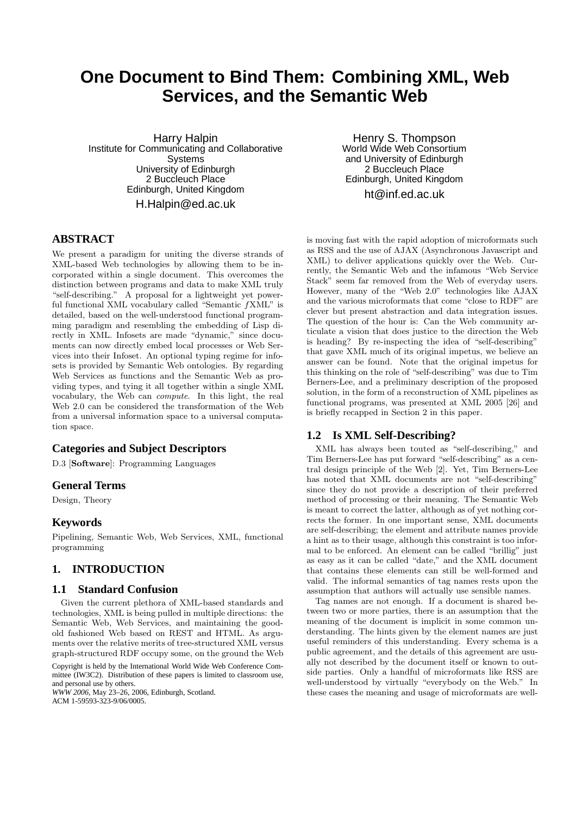# **One Document to Bind Them: Combining XML, Web Services, and the Semantic Web**

Harry Halpin Institute for Communicating and Collaborative Systems University of Edinburgh 2 Buccleuch Place Edinburgh, United Kingdom H.Halpin@ed.ac.uk

Henry S. Thompson World Wide Web Consortium and University of Edinburgh 2 Buccleuch Place Edinburgh, United Kingdom ht@inf.ed.ac.uk

## **ABSTRACT**

We present a paradigm for uniting the diverse strands of XML-based Web technologies by allowing them to be incorporated within a single document. This overcomes the distinction between programs and data to make XML truly "self-describing." A proposal for a lightweight yet powerful functional XML vocabulary called "Semantic fXML" is detailed, based on the well-understood functional programming paradigm and resembling the embedding of Lisp directly in XML. Infosets are made "dynamic," since documents can now directly embed local processes or Web Services into their Infoset. An optional typing regime for infosets is provided by Semantic Web ontologies. By regarding Web Services as functions and the Semantic Web as providing types, and tying it all together within a single XML vocabulary, the Web can compute. In this light, the real Web 2.0 can be considered the transformation of the Web from a universal information space to a universal computation space.

#### **Categories and Subject Descriptors**

D.3 [Software]: Programming Languages

#### **General Terms**

Design, Theory

#### **Keywords**

Pipelining, Semantic Web, Web Services, XML, functional programming

## **1. INTRODUCTION**

#### **1.1 Standard Confusion**

Given the current plethora of XML-based standards and technologies, XML is being pulled in multiple directions: the Semantic Web, Web Services, and maintaining the goodold fashioned Web based on REST and HTML. As arguments over the relative merits of tree-structured XML versus graph-structured RDF occupy some, on the ground the Web

*WWW 2006*, May 23–26, 2006, Edinburgh, Scotland. ACM 1-59593-323-9/06/0005.

is moving fast with the rapid adoption of microformats such as RSS and the use of AJAX (Asynchronous Javascript and XML) to deliver applications quickly over the Web. Currently, the Semantic Web and the infamous "Web Service Stack" seem far removed from the Web of everyday users. However, many of the "Web 2.0" technologies like AJAX and the various microformats that come "close to RDF" are clever but present abstraction and data integration issues. The question of the hour is: Can the Web community articulate a vision that does justice to the direction the Web is heading? By re-inspecting the idea of "self-describing" that gave XML much of its original impetus, we believe an answer can be found. Note that the original impetus for this thinking on the role of "self-describing" was due to Tim Berners-Lee, and a preliminary description of the proposed solution, in the form of a reconstruction of XML pipelines as functional programs, was presented at XML 2005 [26] and is briefly recapped in Section 2 in this paper.

#### **1.2 Is XML Self-Describing?**

XML has always been touted as "self-describing," and Tim Berners-Lee has put forward "self-describing" as a central design principle of the Web [2]. Yet, Tim Berners-Lee has noted that XML documents are not "self-describing" since they do not provide a description of their preferred method of processing or their meaning. The Semantic Web is meant to correct the latter, although as of yet nothing corrects the former. In one important sense, XML documents are self-describing; the element and attribute names provide a hint as to their usage, although this constraint is too informal to be enforced. An element can be called "brillig" just as easy as it can be called "date," and the XML document that contains these elements can still be well-formed and valid. The informal semantics of tag names rests upon the assumption that authors will actually use sensible names.

Tag names are not enough. If a document is shared between two or more parties, there is an assumption that the meaning of the document is implicit in some common understanding. The hints given by the element names are just useful reminders of this understanding. Every schema is a public agreement, and the details of this agreement are usually not described by the document itself or known to outside parties. Only a handful of microformats like RSS are well-understood by virtually "everybody on the Web." In these cases the meaning and usage of microformats are well-

Copyright is held by the International World Wide Web Conference Committee (IW3C2). Distribution of these papers is limited to classroom use, and personal use by others.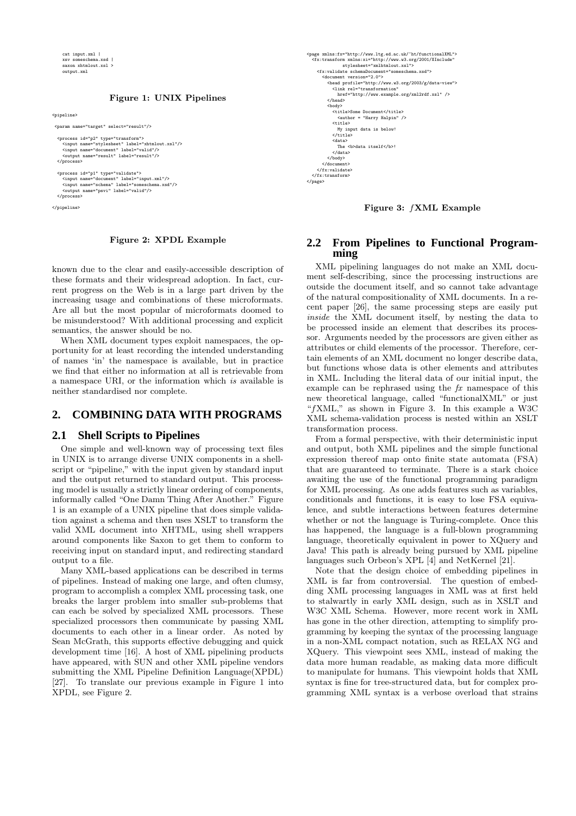cat input.xml | xsv someschema.xsd | saxon xhtmlout.xsl > output.xml

#### Figure 1: UNIX Pipelines

<pipeline>

```
<param name="target" select="result"/>
   \label{eq:3} \begin{array}{ll} \mbox{<i>process} & \mbox{id="p2" type="transform"} \\ \mbox{<i>input name="style@clument" label="vathlout.xsl"}/\\ \mbox{<i>input name="decument" label="vaid"}/\\ \mbox{<i>output name="result" label="result"}/\\ \mbox{<i>output name="result" label="result"}/\\ \end{array}</math></process>
   <process id="p1" type="validate">
```
<input name="document" label="input.xml"/> <input name="schema" label="someschema.xsd"/> put name="schema" iabel="somesch"<br>tput name="psvi" label="valid"/> </process>

</pipeline>

Figure 2: XPDL Example

known due to the clear and easily-accessible description of these formats and their widespread adoption. In fact, current progress on the Web is in a large part driven by the increasing usage and combinations of these microformats. Are all but the most popular of microformats doomed to be misunderstood? With additional processing and explicit semantics, the answer should be no.

When XML document types exploit namespaces, the opportunity for at least recording the intended understanding of names 'in' the namespace is available, but in practice we find that either no information at all is retrievable from a namespace URI, or the information which is available is neither standardised nor complete.

## **2. COMBINING DATA WITH PROGRAMS**

#### **2.1 Shell Scripts to Pipelines**

One simple and well-known way of processing text files in UNIX is to arrange diverse UNIX components in a shellscript or "pipeline," with the input given by standard input and the output returned to standard output. This processing model is usually a strictly linear ordering of components, informally called "One Damn Thing After Another." Figure 1 is an example of a UNIX pipeline that does simple validation against a schema and then uses XSLT to transform the valid XML document into XHTML, using shell wrappers around components like Saxon to get them to conform to receiving input on standard input, and redirecting standard output to a file.

Many XML-based applications can be described in terms of pipelines. Instead of making one large, and often clumsy, program to accomplish a complex XML processing task, one breaks the larger problem into smaller sub-problems that can each be solved by specialized XML processors. These specialized processors then communicate by passing XML documents to each other in a linear order. As noted by Sean McGrath, this supports effective debugging and quick development time [16]. A host of XML pipelining products have appeared, with SUN and other XML pipeline vendors submitting the XML Pipeline Definition Language(XPDL) [27]. To translate our previous example in Figure 1 into XPDL, see Figure 2.

```
<page xmlns:fx="http://www.ltg.ed.ac.uk/~ht/functionalXML">
<fx:transform xmlns:xi="http://www.w3.org/2001/XInclude"
stylesheet="xmlhtmlout.xsl">
<fx:validate schemaDocument="someschema.xsd">
          <document version="2.0">
            <head profile="http://www.w3.org/2003/g/data-view">
                <link rel="transformation"
                   href="http://www.example.org/xml2rdf.xsl" />
             </head>
             <br/>title>Some Document</title></a></author = "Harry Halpin" /></author = "Harry Halpin" />
                 My input data is below!
</title>
                 <data><br>The <b>data itself</b>!
                </data>
             </body>
          </document>
      </fx:validate>
   </fx:transform>
</page>
```
#### Figure 3: fXML Example

## **2.2 From Pipelines to Functional Programming**

XML pipelining languages do not make an XML document self-describing, since the processing instructions are outside the document itself, and so cannot take advantage of the natural compositionality of XML documents. In a recent paper [26], the same processing steps are easily put inside the XML document itself, by nesting the data to be processed inside an element that describes its processor. Arguments needed by the processors are given either as attributes or child elements of the processor. Therefore, certain elements of an XML document no longer describe data, but functions whose data is other elements and attributes in XML. Including the literal data of our initial input, the example can be rephrased using the  $fx$  namespace of this new theoretical language, called "functionalXML" or just "fXML," as shown in Figure 3. In this example a W3C XML schema-validation process is nested within an XSLT transformation process.

From a formal perspective, with their deterministic input and output, both XML pipelines and the simple functional expression thereof map onto finite state automata (FSA) that are guaranteed to terminate. There is a stark choice awaiting the use of the functional programming paradigm for XML processing. As one adds features such as variables, conditionals and functions, it is easy to lose FSA equivalence, and subtle interactions between features determine whether or not the language is Turing-complete. Once this has happened, the language is a full-blown programming language, theoretically equivalent in power to XQuery and Java! This path is already being pursued by XML pipeline languages such Orbeon's XPL [4] and NetKernel [21].

Note that the design choice of embedding pipelines in XML is far from controversial. The question of embedding XML processing languages in XML was at first held to stalwartly in early XML design, such as in XSLT and W3C XML Schema. However, more recent work in XML has gone in the other direction, attempting to simplify programming by keeping the syntax of the processing language in a non-XML compact notation, such as RELAX NG and XQuery. This viewpoint sees XML, instead of making the data more human readable, as making data more difficult to manipulate for humans. This viewpoint holds that XML syntax is fine for tree-structured data, but for complex programming XML syntax is a verbose overload that strains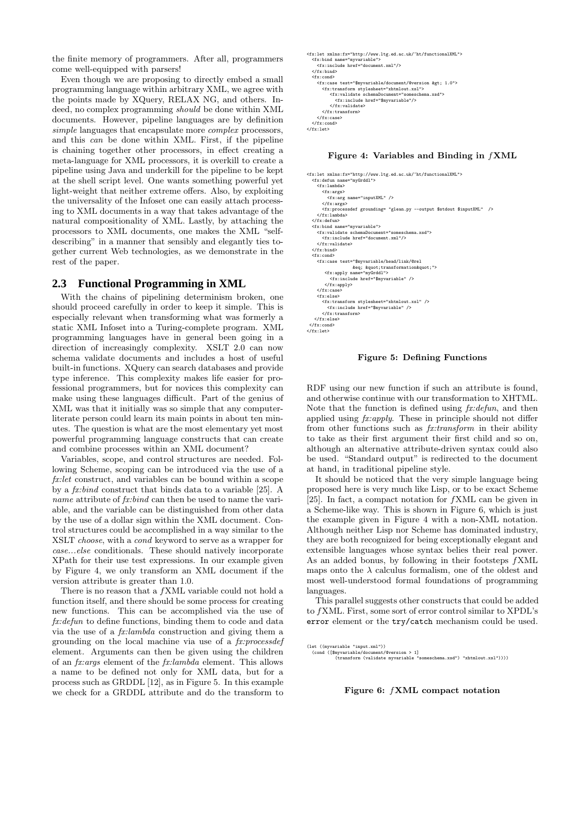the finite memory of programmers. After all, programmers come well-equipped with parsers!

Even though we are proposing to directly embed a small programming language within arbitrary XML, we agree with the points made by XQuery, RELAX NG, and others. Indeed, no complex programming should be done within XML documents. However, pipeline languages are by definition simple languages that encapsulate more complex processors, and this can be done within XML. First, if the pipeline is chaining together other processors, in effect creating a meta-language for XML processors, it is overkill to create a pipeline using Java and underkill for the pipeline to be kept at the shell script level. One wants something powerful yet light-weight that neither extreme offers. Also, by exploiting the universality of the Infoset one can easily attach processing to XML documents in a way that takes advantage of the natural compositionality of XML. Lastly, by attaching the processors to XML documents, one makes the XML "selfdescribing" in a manner that sensibly and elegantly ties together current Web technologies, as we demonstrate in the rest of the paper.

#### **2.3 Functional Programming in XML**

With the chains of pipelining determinism broken, one should proceed carefully in order to keep it simple. This is especially relevant when transforming what was formerly a static XML Infoset into a Turing-complete program. XML programming languages have in general been going in a direction of increasingly complexity. XSLT 2.0 can now schema validate documents and includes a host of useful built-in functions. XQuery can search databases and provide type inference. This complexity makes life easier for professional programmers, but for novices this complexity can make using these languages difficult. Part of the genius of XML was that it initially was so simple that any computerliterate person could learn its main points in about ten minutes. The question is what are the most elementary yet most powerful programming language constructs that can create and combine processes within an XML document?

Variables, scope, and control structures are needed. Following Scheme, scoping can be introduced via the use of a fx: let construct, and variables can be bound within a scope by a fx:bind construct that binds data to a variable [25]. A name attribute of fx:bind can then be used to name the variable, and the variable can be distinguished from other data by the use of a dollar sign within the XML document. Control structures could be accomplished in a way similar to the XSLT choose, with a cond keyword to serve as a wrapper for case...else conditionals. These should natively incorporate XPath for their use test expressions. In our example given by Figure 4, we only transform an XML document if the version attribute is greater than 1.0.

There is no reason that a fXML variable could not hold a function itself, and there should be some process for creating new functions. This can be accomplished via the use of fx:defun to define functions, binding them to code and data via the use of a fx:lambda construction and giving them a grounding on the local machine via use of a fx:processdef element. Arguments can then be given using the children of an fx:args element of the fx:lambda element. This allows a name to be defined not only for XML data, but for a process such as GRDDL [12], as in Figure 5. In this example we check for a GRDDL attribute and do the transform to

```
<fx:let xmlns:fx="http://www.ltg.ed.ac.uk/~ht/functionalXML">
<fx:bind name="myvariable">
<fx:include href="document.xml"/>
</fx:bind>
  <fx:cond>
     <fx:case test="$myvariable/document/@version > 1.0">
        <fx:transform stylesheet="xhtmlout.xsl">
<fx:validate schemaDocument="someschema.xsd">
               <fx:include href="$myvariable"/>
            </fx:validate>
        </fx:transform>
     </fx:case>
  </fx:cond>
</fx:let>
```
Figure 4: Variables and Binding in fXML

```
<fx:let xmlns:fx="http://www.ltg.ed.ac.uk/~ht/functionalXML">
  <fx:defun name="myGrddl">
    <fx:lambda>
      <fx:args>
         <fx:arg name="inputXML" />
    </fx:args>
<fx:processdef grounding= "glean.py --output $stdout $inputXML" />
</fx:lambda>
   </fx:defun>
 <fx:bind name="myvariable">
    <fx:validate schemaDocument="someschema.xsd">
      <fx:include href="document.xml"/>
    </fx:validate>
  </fx:bind>
  <fx:cond>
<fx:case test="$myvariable/head/link/@rel
        %eq; "transformation""><br><fx:apply name="myGrddl">
         <fx:include href="$myvariable" />
    </fx:apply>
</fx:case>
<fx:else>
      <fx:transform stylesheet="xhtmlout.xsl" />
         <fx:include href="$myvariable" />
      </fx:transform>
   </fx:else>
 </fx:cond>
\langlefx:let>
```
#### Figure 5: Defining Functions

RDF using our new function if such an attribute is found, and otherwise continue with our transformation to XHTML. Note that the function is defined using  $fx:defun$ , and then applied using  $fr:apply.$  These in principle should not differ from other functions such as  $fx:transform$  in their ability to take as their first argument their first child and so on, although an alternative attribute-driven syntax could also be used. "Standard output" is redirected to the document at hand, in traditional pipeline style.

It should be noticed that the very simple language being proposed here is very much like Lisp, or to be exact Scheme [25]. In fact, a compact notation for fXML can be given in a Scheme-like way. This is shown in Figure 6, which is just the example given in Figure 4 with a non-XML notation. Although neither Lisp nor Scheme has dominated industry, they are both recognized for being exceptionally elegant and extensible languages whose syntax belies their real power. As an added bonus, by following in their footsteps fXML maps onto the  $\lambda$  calculus formalism, one of the oldest and most well-understood formal foundations of programming languages

This parallel suggests other constructs that could be added to fXML. First, some sort of error control similar to XPDL's error element or the try/catch mechanism could be used.

(let ((myvariable "input.xml")) (cond ([\$myvariable/document/@version > 1] (transform (validate myvariable "someschema.xsd") "xhtmlout.xsl"))))

Figure 6: fXML compact notation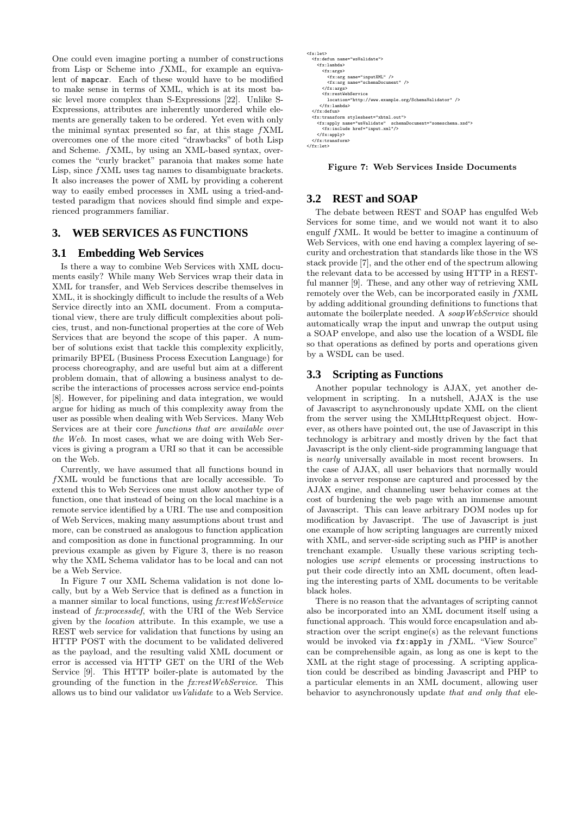One could even imagine porting a number of constructions from Lisp or Scheme into fXML, for example an equivalent of mapcar. Each of these would have to be modified to make sense in terms of XML, which is at its most basic level more complex than S-Expressions [22]. Unlike S-Expressions, attributes are inherently unordered while elements are generally taken to be ordered. Yet even with only the minimal syntax presented so far, at this stage fXML overcomes one of the more cited "drawbacks" of both Lisp and Scheme. fXML, by using an XML-based syntax, overcomes the "curly bracket" paranoia that makes some hate Lisp, since fXML uses tag names to disambiguate brackets. It also increases the power of XML by providing a coherent way to easily embed processes in XML using a tried-andtested paradigm that novices should find simple and experienced programmers familiar.

## **3. WEB SERVICES AS FUNCTIONS**

## **3.1 Embedding Web Services**

Is there a way to combine Web Services with XML documents easily? While many Web Services wrap their data in XML for transfer, and Web Services describe themselves in XML, it is shockingly difficult to include the results of a Web Service directly into an XML document. From a computational view, there are truly difficult complexities about policies, trust, and non-functional properties at the core of Web Services that are beyond the scope of this paper. A number of solutions exist that tackle this complexity explicitly, primarily BPEL (Business Process Execution Language) for process choreography, and are useful but aim at a different problem domain, that of allowing a business analyst to describe the interactions of processes across service end-points [8]. However, for pipelining and data integration, we would argue for hiding as much of this complexity away from the user as possible when dealing with Web Services. Many Web Services are at their core functions that are available over the Web. In most cases, what we are doing with Web Services is giving a program a URI so that it can be accessible on the Web.

Currently, we have assumed that all functions bound in fXML would be functions that are locally accessible. To extend this to Web Services one must allow another type of function, one that instead of being on the local machine is a remote service identified by a URI. The use and composition of Web Services, making many assumptions about trust and more, can be construed as analogous to function application and composition as done in functional programming. In our previous example as given by Figure 3, there is no reason why the XML Schema validator has to be local and can not be a Web Service.

In Figure 7 our XML Schema validation is not done locally, but by a Web Service that is defined as a function in a manner similar to local functions, using fx:restWebService instead of fx:processdef, with the URI of the Web Service given by the location attribute. In this example, we use a REST web service for validation that functions by using an HTTP POST with the document to be validated delivered as the payload, and the resulting valid XML document or error is accessed via HTTP GET on the URI of the Web Service [9]. This HTTP boiler-plate is automated by the grounding of the function in the fx:restWebService. This allows us to bind our validator wsValidate to a Web Service.

```
\epsilonfy:let>
   <fx:defun name="wsValidate">
<fx:lambda>
        <fx:args>
        <fx:arg name="inputXML" />
<fx:arg name="schemaDocument" />
</fx:args>
<fx:restWebService
       location="http://www.example.org/SchemaValidator" />
</fx:lambda>
   </fx:defun>
  <fx:transform stylesheet="xhtml.out">
                                             schemaDocument="someschema.xsd">
        <fx:include href="input.xml"/>
   </fx:apply>
</fx:transform>
\langle /fx:let>
```
Figure 7: Web Services Inside Documents

## **3.2 REST and SOAP**

The debate between REST and SOAP has engulfed Web Services for some time, and we would not want it to also engulf fXML. It would be better to imagine a continuum of Web Services, with one end having a complex layering of security and orchestration that standards like those in the WS stack provide [7], and the other end of the spectrum allowing the relevant data to be accessed by using HTTP in a RESTful manner [9]. These, and any other way of retrieving XML remotely over the Web, can be incorporated easily in fXML by adding additional grounding definitions to functions that automate the boilerplate needed. A soapWebService should automatically wrap the input and unwrap the output using a SOAP envelope, and also use the location of a WSDL file so that operations as defined by ports and operations given by a WSDL can be used.

## **3.3 Scripting as Functions**

Another popular technology is AJAX, yet another development in scripting. In a nutshell, AJAX is the use of Javascript to asynchronously update XML on the client from the server using the XMLHttpRequest object. However, as others have pointed out, the use of Javascript in this technology is arbitrary and mostly driven by the fact that Javascript is the only client-side programming language that is nearly universally available in most recent browsers. In the case of AJAX, all user behaviors that normally would invoke a server response are captured and processed by the AJAX engine, and channeling user behavior comes at the cost of burdening the web page with an immense amount of Javascript. This can leave arbitrary DOM nodes up for modification by Javascript. The use of Javascript is just one example of how scripting languages are currently mixed with XML, and server-side scripting such as PHP is another trenchant example. Usually these various scripting technologies use script elements or processing instructions to put their code directly into an XML document, often leading the interesting parts of XML documents to be veritable black holes.

There is no reason that the advantages of scripting cannot also be incorporated into an XML document itself using a functional approach. This would force encapsulation and abstraction over the script engine(s) as the relevant functions would be invoked via fx:apply in fXML. "View Source" can be comprehensible again, as long as one is kept to the XML at the right stage of processing. A scripting application could be described as binding Javascript and PHP to a particular elements in an XML document, allowing user behavior to asynchronously update that and only that ele-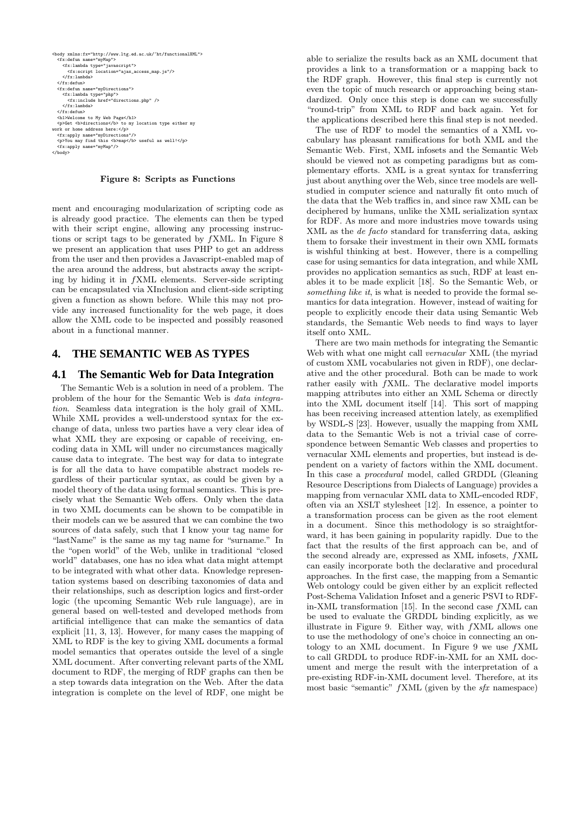```
dy xmlns:fx="http://www.ltg.ed.ac.uk/"ht/functionalXML"
   <fx:defun name="myMap">
<fx:lambda type="javascript">
<fx:script location="ajax_access_map.js"/>
     </fx:lambda>
   </fx:defun>
  <fx:defun name="myDirections">
      <fx:lambda type="php">
<fx:include href="directions.php" />
</fx:lambda>
   </fx:defun>
  <h1>Welcome to My Web Page</h1>
  <p>Get <br/>b>directions</b> to my location type either my
work or home address here:</p>
<fx:apply name="myDirections"/>
   <p>You may find this <br/> <br/>b>map</b> useful as well!</p></b</>fx:apply name="myMap"/>
</body>
```
Figure 8: Scripts as Functions

ment and encouraging modularization of scripting code as is already good practice. The elements can then be typed with their script engine, allowing any processing instructions or script tags to be generated by fXML. In Figure 8 we present an application that uses PHP to get an address from the user and then provides a Javascript-enabled map of the area around the address, but abstracts away the scripting by hiding it in fXML elements. Server-side scripting can be encapsulated via XInclusion and client-side scripting given a function as shown before. While this may not provide any increased functionality for the web page, it does allow the XML code to be inspected and possibly reasoned about in a functional manner.

## **4. THE SEMANTIC WEB AS TYPES**

#### **4.1 The Semantic Web for Data Integration**

The Semantic Web is a solution in need of a problem. The problem of the hour for the Semantic Web is data integration. Seamless data integration is the holy grail of XML. While XML provides a well-understood syntax for the exchange of data, unless two parties have a very clear idea of what XML they are exposing or capable of receiving, encoding data in XML will under no circumstances magically cause data to integrate. The best way for data to integrate is for all the data to have compatible abstract models regardless of their particular syntax, as could be given by a model theory of the data using formal semantics. This is precisely what the Semantic Web offers. Only when the data in two XML documents can be shown to be compatible in their models can we be assured that we can combine the two sources of data safely, such that I know your tag name for "lastName" is the same as my tag name for "surname." In the "open world" of the Web, unlike in traditional "closed world" databases, one has no idea what data might attempt to be integrated with what other data. Knowledge representation systems based on describing taxonomies of data and their relationships, such as description logics and first-order logic (the upcoming Semantic Web rule language), are in general based on well-tested and developed methods from artificial intelligence that can make the semantics of data explicit [11, 3, 13]. However, for many cases the mapping of XML to RDF is the key to giving XML documents a formal model semantics that operates outside the level of a single XML document. After converting relevant parts of the XML document to RDF, the merging of RDF graphs can then be a step towards data integration on the Web. After the data integration is complete on the level of RDF, one might be

able to serialize the results back as an XML document that provides a link to a transformation or a mapping back to the RDF graph. However, this final step is currently not even the topic of much research or approaching being standardized. Only once this step is done can we successfully "round-trip" from XML to RDF and back again. Yet for the applications described here this final step is not needed.

The use of RDF to model the semantics of a XML vocabulary has pleasant ramifications for both XML and the Semantic Web. First, XML infosets and the Semantic Web should be viewed not as competing paradigms but as complementary efforts. XML is a great syntax for transferring just about anything over the Web, since tree models are wellstudied in computer science and naturally fit onto much of the data that the Web traffics in, and since raw XML can be deciphered by humans, unlike the XML serialization syntax for RDF. As more and more industries move towards using XML as the de facto standard for transferring data, asking them to forsake their investment in their own XML formats is wishful thinking at best. However, there is a compelling case for using semantics for data integration, and while XML provides no application semantics as such, RDF at least enables it to be made explicit [18]. So the Semantic Web, or something like it, is what is needed to provide the formal semantics for data integration. However, instead of waiting for people to explicitly encode their data using Semantic Web standards, the Semantic Web needs to find ways to layer itself onto XML.

There are two main methods for integrating the Semantic Web with what one might call vernacular XML (the myriad of custom XML vocabularies not given in RDF), one declarative and the other procedural. Both can be made to work rather easily with fXML. The declarative model imports mapping attributes into either an XML Schema or directly into the XML document itself [14]. This sort of mapping has been receiving increased attention lately, as exemplified by WSDL-S [23]. However, usually the mapping from XML data to the Semantic Web is not a trivial case of correspondence between Semantic Web classes and properties to vernacular XML elements and properties, but instead is dependent on a variety of factors within the XML document. In this case a procedural model, called GRDDL (Gleaning Resource Descriptions from Dialects of Language) provides a mapping from vernacular XML data to XML-encoded RDF, often via an XSLT stylesheet [12]. In essence, a pointer to a transformation process can be given as the root element in a document. Since this methodology is so straightforward, it has been gaining in popularity rapidly. Due to the fact that the results of the first approach can be, and of the second already are, expressed as XML infosets, fXML can easily incorporate both the declarative and procedural approaches. In the first case, the mapping from a Semantic Web ontology could be given either by an explicit reflected Post-Schema Validation Infoset and a generic PSVI to RDFin-XML transformation [15]. In the second case fXML can be used to evaluate the GRDDL binding explicitly, as we illustrate in Figure 9. Either way, with  $fXML$  allows one to use the methodology of one's choice in connecting an ontology to an XML document. In Figure  $9$  we use  $fXML$ to call GRDDL to produce RDF-in-XML for an XML document and merge the result with the interpretation of a pre-existing RDF-in-XML document level. Therefore, at its most basic "semantic"  $fXML$  (given by the  $sfx$  namespace)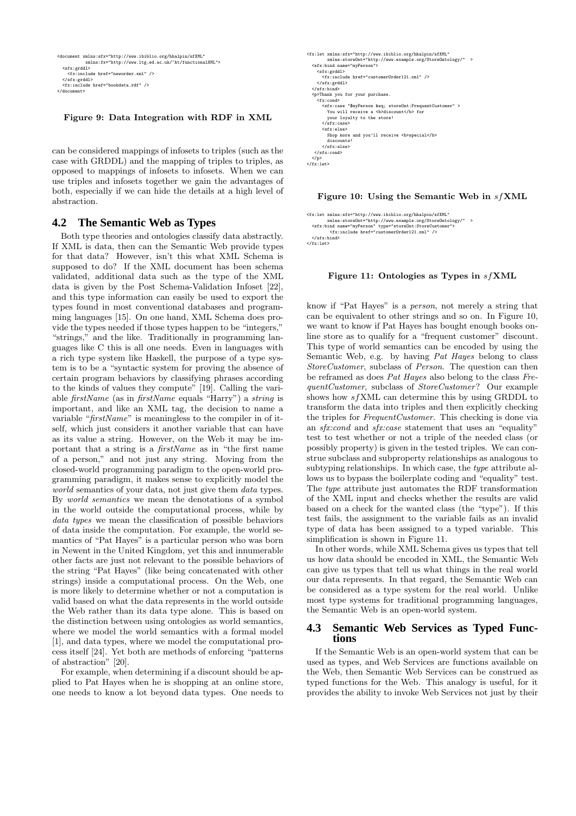```
<document xmlns:sfx="http://www.ibiblio.org/hhalpin/sfXML"
xmlns:fx="http://www.ltg.ed.ac.uk/~ht/functionalXML">
<sfx:grddl>
     <fx:include href="neworder.xml" />
  </sfx:grddl>
   <fx:include href="bookdata.rdf" />
</document>
```
#### Figure 9: Data Integration with RDF in XML

can be considered mappings of infosets to triples (such as the case with GRDDL) and the mapping of triples to triples, as opposed to mappings of infosets to infosets. When we can use triples and infosets together we gain the advantages of both, especially if we can hide the details at a high level of abstraction.

#### **4.2 The Semantic Web as Types**

Both type theories and ontologies classify data abstractly. If XML is data, then can the Semantic Web provide types for that data? However, isn't this what XML Schema is supposed to do? If the XML document has been schema validated, additional data such as the type of the XML data is given by the Post Schema-Validation Infoset [22], and this type information can easily be used to export the types found in most conventional databases and programming languages [15]. On one hand, XML Schema does provide the types needed if those types happen to be "integers," "strings," and the like. Traditionally in programming languages like C this is all one needs. Even in languages with a rich type system like Haskell, the purpose of a type system is to be a "syntactic system for proving the absence of certain program behaviors by classifying phrases according to the kinds of values they compute" [19]. Calling the variable firstName (as in firstName equals "Harry") a string is important, and like an XML tag, the decision to name a variable "firstName" is meaningless to the compiler in of itself, which just considers it another variable that can have as its value a string. However, on the Web it may be important that a string is a *firstName* as in "the first name of a person," and not just any string. Moving from the closed-world programming paradigm to the open-world programming paradigm, it makes sense to explicitly model the world semantics of your data, not just give them data types. By world semantics we mean the denotations of a symbol in the world outside the computational process, while by data types we mean the classification of possible behaviors of data inside the computation. For example, the world semantics of "Pat Hayes" is a particular person who was born in Newent in the United Kingdom, yet this and innumerable other facts are just not relevant to the possible behaviors of the string "Pat Hayes" (like being concatenated with other strings) inside a computational process. On the Web, one is more likely to determine whether or not a computation is valid based on what the data represents in the world outside the Web rather than its data type alone. This is based on the distinction between using ontologies as world semantics, where we model the world semantics with a formal model [1], and data types, where we model the computational process itself [24]. Yet both are methods of enforcing "patterns of abstraction" [20].

For example, when determining if a discount should be applied to Pat Hayes when he is shopping at an online store, one needs to know a lot beyond data types. One needs to

```
<fx:let xmlns:sfx="http://www.ibiblio.org/hhalpin/sfXML"
xmlns:storeOnt="http://www.example.org/StoreOntology/" >
<sfx:bind name="myPerson">
<sfx:grddl>
        <fx:include href="customerOrder121.xml" />
     </sfx:grddl>
  </sfx:bind>
   <p>Thank you for your purchase.
<fx:cond>
         <sfx:case "$myPerson &eq; storeOnt:FrequentCustomer" >
You will receive a <b>discount</b> for
           your loyalty to the store!
        </sfx:case>
        <sfx:else>
            Shop more and you'll receive <b>special</b>discounts!
        </sfx:else>
   \sqrt{\text{sfx:cond}}</p>
</fx:let>
```
#### Figure 10: Using the Semantic Web in  $s f X M L$

<fx:let xmlns:sfx="http://www.ibiblio.org/hhalpin/sfXML" xmlns:storeOnt="http://www.example.org/StoreOntology/" > <sfx:bind name="myPerson" type="storeOnt:StoreCustomer"> <fx:include href="customerOrder121.xml" /> </sfx:bind>  $\epsilon$ /fy:let<sup>-</sup>

Figure 11: Ontologies as Types in  $s_f$ XML

know if "Pat Hayes" is a person, not merely a string that can be equivalent to other strings and so on. In Figure 10, we want to know if Pat Hayes has bought enough books online store as to qualify for a "frequent customer" discount. This type of world semantics can be encoded by using the Semantic Web, e.g. by having *Pat Hayes* belong to class StoreCustomer, subclass of Person. The question can then be reframed as does Pat Hayes also belong to the class FrequentCustomer, subclass of StoreCustomer? Our example shows how  $s f XML$  can determine this by using GRDDL to transform the data into triples and then explicitly checking the triples for FrequentCustomer. This checking is done via an sfx:cond and sfx:case statement that uses an "equality" test to test whether or not a triple of the needed class (or possibly property) is given in the tested triples. We can construe subclass and subproperty relationships as analogous to subtyping relationships. In which case, the *type* attribute allows us to bypass the boilerplate coding and "equality" test. The type attribute just automates the RDF transformation of the XML input and checks whether the results are valid based on a check for the wanted class (the "type"). If this test fails, the assignment to the variable fails as an invalid type of data has been assigned to a typed variable. This simplification is shown in Figure 11.

In other words, while XML Schema gives us types that tell us how data should be encoded in XML, the Semantic Web can give us types that tell us what things in the real world our data represents. In that regard, the Semantic Web can be considered as a type system for the real world. Unlike most type systems for traditional programming languages, the Semantic Web is an open-world system.

#### **4.3 Semantic Web Services as Typed Functions**

If the Semantic Web is an open-world system that can be used as types, and Web Services are functions available on the Web, then Semantic Web Services can be construed as typed functions for the Web. This analogy is useful, for it provides the ability to invoke Web Services not just by their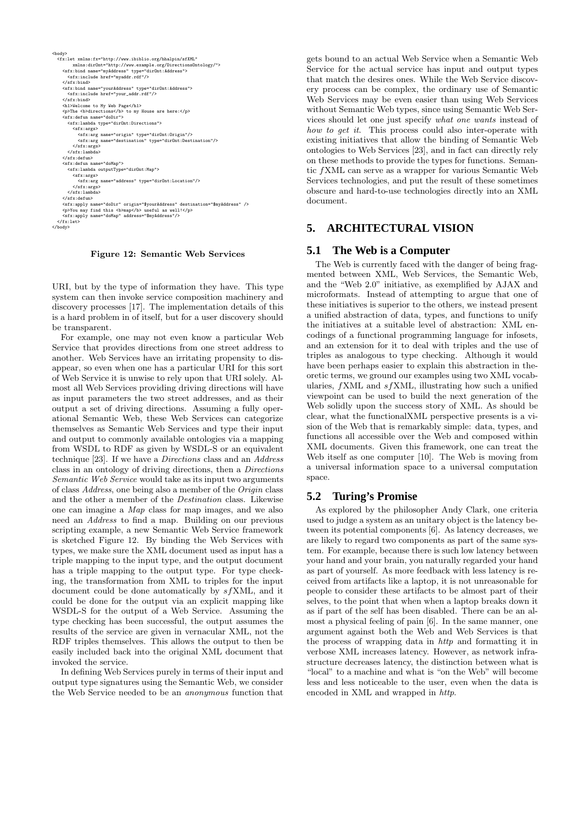```
%thelp://www.ibiblio.org/hhalpin/sfXML"<br>xmlns:dirOnt="http://www.example.org/DirectionsOntology/"><br>\sfx:bind name="myAddress" type="dirOnt:Address"><br>\sfx:include href="myaddr.rdf"/><br>\sfx:include href="myaddr.rdf"/>
         </sfx:bind>
          <sfx:bind name="yourAddress" type="dirOnt:Address">
<sfx:include href="your_addr.rdf"/>
          </sfx:bind><br>\h1>Welcome to My Web Page</h1><br>\p>The <br/> <br/>value chinds<br>\sfx:defun name="doDir"><br>\sfx:defun name="doDir">
             <sfx:lambda type="dirOnt:Directions">
                  <sfx:args>
                        <sfx:arg name="origin" type="dirOnt:Origin"/>
<sfx:arg name="destination" type="dirOnt:Destination"/>
                  \langlesfx:args
          </sfx:lambda><br></sfx:defun><br><sfx:defun name="doMap"><br><sfx:defun name="doMap"><br>sfx:lambda outputType="dirOnt:Map">
                  <sfx:args>
                       <sfx:arg name="address" type="dirOnt:Location"/>
                  \frac{324.44}{565}</sfx:lambda>
         </sfx:defun>
          <sfx:apply name="doDir" origin="$yourAddress" destination="$myAddress" /><br><p>You may find this <br/>>bmap</b> useful as well!</p></br/>\texttt{ssr}^* \texttt{y}^* \texttt{y}^* \texttt{y}^* \texttt{y}^* \texttt{y}^* \texttt{y}^* \texttt{y}^* \texttt{y}^* \texttt{y}^* \texttt{y\langle/fx:let\rangle</body>
```
#### Figure 12: Semantic Web Services

URI, but by the type of information they have. This type system can then invoke service composition machinery and discovery processes [17]. The implementation details of this is a hard problem in of itself, but for a user discovery should be transparent.

For example, one may not even know a particular Web Service that provides directions from one street address to another. Web Services have an irritating propensity to disappear, so even when one has a particular URI for this sort of Web Service it is unwise to rely upon that URI solely. Almost all Web Services providing driving directions will have as input parameters the two street addresses, and as their output a set of driving directions. Assuming a fully operational Semantic Web, these Web Services can categorize themselves as Semantic Web Services and type their input and output to commonly available ontologies via a mapping from WSDL to RDF as given by WSDL-S or an equivalent technique [23]. If we have a Directions class and an Address class in an ontology of driving directions, then a Directions Semantic Web Service would take as its input two arguments of class Address, one being also a member of the Origin class and the other a member of the Destination class. Likewise one can imagine a Map class for map images, and we also need an Address to find a map. Building on our previous scripting example, a new Semantic Web Service framework is sketched Figure 12. By binding the Web Services with types, we make sure the XML document used as input has a triple mapping to the input type, and the output document has a triple mapping to the output type. For type checking, the transformation from XML to triples for the input document could be done automatically by sfXML, and it could be done for the output via an explicit mapping like WSDL-S for the output of a Web Service. Assuming the type checking has been successful, the output assumes the results of the service are given in vernacular XML, not the RDF triples themselves. This allows the output to then be easily included back into the original XML document that invoked the service.

In defining Web Services purely in terms of their input and output type signatures using the Semantic Web, we consider the Web Service needed to be an anonymous function that

gets bound to an actual Web Service when a Semantic Web Service for the actual service has input and output types that match the desires ones. While the Web Service discovery process can be complex, the ordinary use of Semantic Web Services may be even easier than using Web Services without Semantic Web types, since using Semantic Web Services should let one just specify what one wants instead of how to get it. This process could also inter-operate with existing initiatives that allow the binding of Semantic Web ontologies to Web Services [23], and in fact can directly rely on these methods to provide the types for functions. Semantic fXML can serve as a wrapper for various Semantic Web Services technologies, and put the result of these sometimes obscure and hard-to-use technologies directly into an XML document.

## **5. ARCHITECTURAL VISION**

#### **5.1 The Web is a Computer**

The Web is currently faced with the danger of being fragmented between XML, Web Services, the Semantic Web, and the "Web 2.0" initiative, as exemplified by AJAX and microformats. Instead of attempting to argue that one of these initiatives is superior to the others, we instead present a unified abstraction of data, types, and functions to unify the initiatives at a suitable level of abstraction: XML encodings of a functional programming language for infosets, and an extension for it to deal with triples and the use of triples as analogous to type checking. Although it would have been perhaps easier to explain this abstraction in theoretic terms, we ground our examples using two XML vocabularies,  $fXML$  and  $sfXXML$ , illustrating how such a unified viewpoint can be used to build the next generation of the Web solidly upon the success story of XML. As should be clear, what the functionalXML perspective presents is a vision of the Web that is remarkably simple: data, types, and functions all accessible over the Web and composed within XML documents. Given this framework, one can treat the Web itself as one computer [10]. The Web is moving from a universal information space to a universal computation space.

#### **5.2 Turing's Promise**

As explored by the philosopher Andy Clark, one criteria used to judge a system as an unitary object is the latency between its potential components [6]. As latency decreases, we are likely to regard two components as part of the same system. For example, because there is such low latency between your hand and your brain, you naturally regarded your hand as part of yourself. As more feedback with less latency is received from artifacts like a laptop, it is not unreasonable for people to consider these artifacts to be almost part of their selves, to the point that when when a laptop breaks down it as if part of the self has been disabled. There can be an almost a physical feeling of pain [6]. In the same manner, one argument against both the Web and Web Services is that the process of wrapping data in http and formatting it in verbose XML increases latency. However, as network infrastructure decreases latency, the distinction between what is "local" to a machine and what is "on the Web" will become less and less noticeable to the user, even when the data is encoded in XML and wrapped in http.